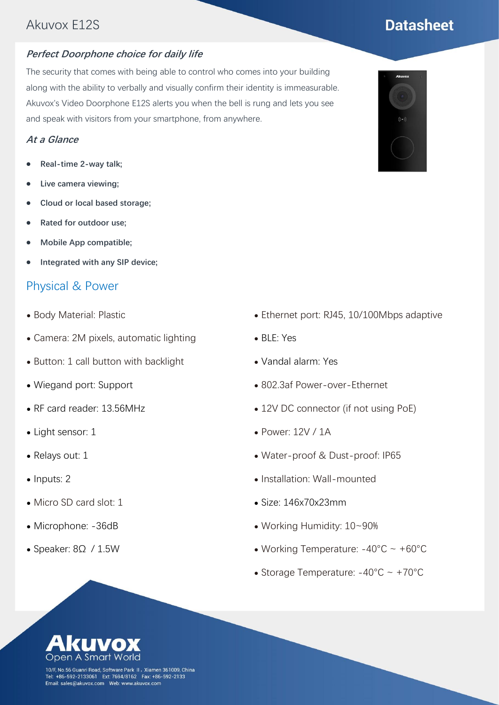## Akuvox E12S

#### **Perfect Doorphone choice for daily life**

The security that comes with being able to control who comes into your building along with the ability to verbally and visually confirm their identity is immeasurable. Akuvox's Video Doorphone E12S alerts you when the bell is rung and lets you see and speak with visitors from your smartphone, from anywhere.

#### **At a Glance**

- ⚫ **Real-time 2-way talk;**
- ⚫ **Live camera viewing;**
- ⚫ **Cloud or local based storage;**
- ⚫ **Rated for outdoor use;**
- ⚫ **Mobile App compatible;**
- ⚫ **Integrated with any SIP device;**

#### Physical & Power

- ⚫ Body Material: Plastic
- ⚫ Camera: 2M pixels, automatic lighting
- ⚫ Button: 1 call button with backlight
- ⚫ Wiegand port: Support
- ⚫ RF card reader: 13.56MHz
- Light sensor: 1
- ⚫ Relays out: 1
- Inputs: 2
- ⚫ Micro SD card slot: 1
- ⚫ Microphone: -36dB
- Speaker: 8Ω / 1.5W
- ⚫ Ethernet port: RJ45, 10/100Mbps adaptive
- ⚫ BLE: Yes
- ⚫ Vandal alarm: Yes
- ⚫ 802.3af Power-over-Ethernet
- 12V DC connector (if not using PoE)
- ⚫ Power: 12V / 1A
- ⚫ Water-proof & Dust-proof: IP65
- ⚫ Installation: Wall-mounted
- ⚫ Size: 146x70x23mm
- ⚫ Working Humidity: 10~90%
- Working Temperature:  $-40^{\circ}$ C ~  $+60^{\circ}$ C
- Storage Temperature:  $-40^{\circ}$ C ~  $+70^{\circ}$ C



10/F, No.56 Guanri Road, Software Park II, Xiamen 361009, China Tel: +86-592-2133061 Ext: 7694/8162 Fax: +86-592-2133<br>Email: sales@akuvox.com Web: www.akuvox.com



# **Datasheet**